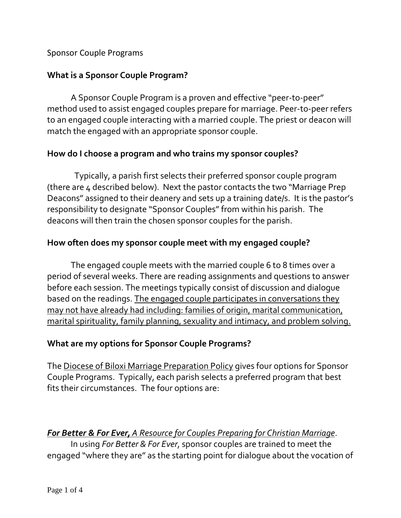### Sponsor Couple Programs

## **What is a Sponsor Couple Program?**

A Sponsor Couple Program is a proven and effective "peer-to-peer" method used to assist engaged couples prepare for marriage. Peer-to-peer refers to an engaged couple interacting with a married couple. The priest or deacon will match the engaged with an appropriate sponsor couple.

### **How do I choose a program and who trains my sponsor couples?**

 Typically, a parish first selects their preferred sponsor couple program (there are 4 described below). Next the pastor contacts the two "Marriage Prep Deacons" assigned to their deanery and sets up a training date/s. It is the pastor's responsibility to designate "Sponsor Couples" from within his parish. The deacons will then train the chosen sponsor couples for the parish.

### **How often does my sponsor couple meet with my engaged couple?**

The engaged couple meets with the married couple 6 to 8 times over a period of several weeks. There are reading assignments and questions to answer before each session. The meetings typically consist of discussion and dialogue based on the readings. The engaged couple participates in conversations they may not have already had including: families of origin, marital communication, marital spirituality, family planning, sexuality and intimacy, and problem solving.

### **What are my options for Sponsor Couple Programs?**

The Diocese of Biloxi Marriage Preparation Policy gives four options for Sponsor Couple Programs. Typically, each parish selects a preferred program that best fits their circumstances. The four options are:

## *For Better & For Ever, A Resource for Couples Preparing for Christian Marriage*.

In using *For Better & For Ever*, sponsor couples are trained to meet the engaged "where they are" as the starting point for dialogue about the vocation of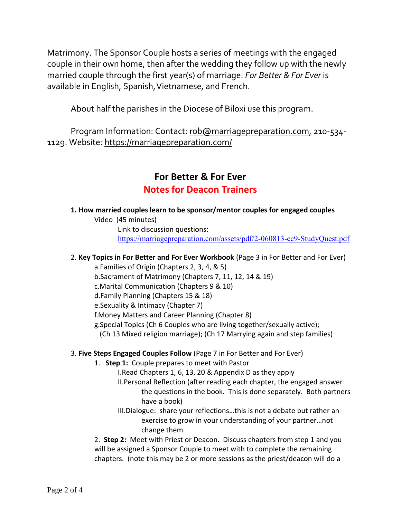Matrimony. The Sponsor Couple hosts a series of meetings with the engaged couple in their own home, then after the wedding they follow up with the newly married couple through the first year(s) of marriage. *For Better & For Ever* is available in English, Spanish,Vietnamese, and French.

About half the parishes in the Diocese of Biloxi use this program.

Program Information: Contact: [rob@marriagepreparation.com,](mailto:rob@marriagepreparation.com) 210-534-1129. Website:<https://marriagepreparation.com/>

# **For Better & For Ever Notes for Deacon Trainers**

**1. How married couples learn to be sponsor/mentor couples for engaged couples**

Video (45 minutes)

Link to discussion questions: https://marriagepreparation.com/assets/pdf/2-060813-cc9-StudyQuest.pdf

### 2. **Key Topics in For Better and For Ever Workbook** (Page 3 in For Better and For Ever)

a.Families of Origin (Chapters 2, 3, 4, & 5)

b.Sacrament of Matrimony (Chapters 7, 11, 12, 14 & 19)

c.Marital Communication (Chapters 9 & 10)

- d.Family Planning (Chapters 15 & 18)
- e.Sexuality & Intimacy (Chapter 7)

f.Money Matters and Career Planning (Chapter 8)

g.Special Topics (Ch 6 Couples who are living together/sexually active);

(Ch 13 Mixed religion marriage); (Ch 17 Marrying again and step families)

#### 3. **Five Steps Engaged Couples Follow** (Page 7 in For Better and For Ever)

1. **Step 1:** Couple prepares to meet with Pastor

I.Read Chapters 1, 6, 13, 20 & Appendix D as they apply

II.Personal Reflection (after reading each chapter, the engaged answer the questions in the book. This is done separately. Both partners have a book)

III.Dialogue: share your reflections…this is not a debate but rather an exercise to grow in your understanding of your partner…not change them

2. **Step 2:** Meet with Priest or Deacon. Discuss chapters from step 1 and you will be assigned a Sponsor Couple to meet with to complete the remaining chapters. (note this may be 2 or more sessions as the priest/deacon will do a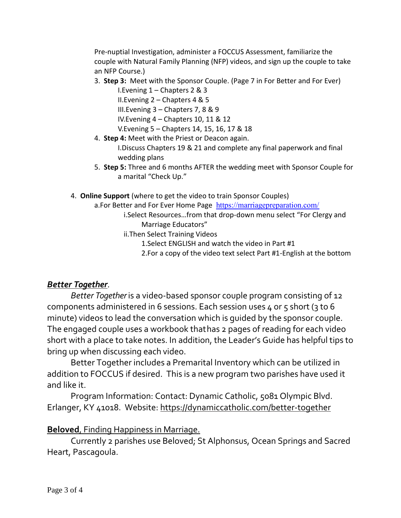Pre-nuptial Investigation, administer a FOCCUS Assessment, familiarize the couple with Natural Family Planning (NFP) videos, and sign up the couple to take an NFP Course.)

3. **Step 3:** Meet with the Sponsor Couple. (Page 7 in For Better and For Ever)

I.Evening 1 – Chapters 2 & 3

II.Evening 2 – Chapters 4 & 5

III.Evening 3 – Chapters 7, 8 & 9

IV.Evening 4 – Chapters 10, 11 & 12

V.Evening 5 – Chapters 14, 15, 16, 17 & 18

4. **Step 4:** Meet with the Priest or Deacon again.

I.Discuss Chapters 19 & 21 and complete any final paperwork and final wedding plans

- 5. **Step 5:** Three and 6 months AFTER the wedding meet with Sponsor Couple for a marital "Check Up."
- 4. **Online Support** (where to get the video to train Sponsor Couples)
	- a.For Better and For Ever Home Page <https://marriagepreparation.com/>
		- i.Select Resources…from that drop-down menu select "For Clergy and Marriage Educators"
		- ii.Then Select Training Videos
			- 1.Select ENGLISH and watch the video in Part #1
			- 2.For a copy of the video text select Part #1-English at the bottom

# *Better Together*.

*Better Together* is a video-based sponsor couple program consisting of 12 components administered in 6 sessions. Each session uses 4 or 5 short (3 to 6 minute) videos to lead the conversation which is guided by the sponsor couple. The engaged couple uses a workbook thathas 2 pages of reading for each video short with a place to take notes. In addition, the Leader's Guide has helpful tips to bring up when discussing each video.

Better Together includes a Premarital Inventory which can be utilized in addition to FOCCUS if desired. This is a new program two parishes have used it and like it.

Program Information: Contact: Dynamic Catholic, 5081 Olympic Blvd. Erlanger, KY 41018. Website:<https://dynamiccatholic.com/better-together>

# **Beloved**, Finding Happiness in Marriage.

Currently 2 parishes use Beloved; St Alphonsus, Ocean Springs and Sacred Heart, Pascagoula.